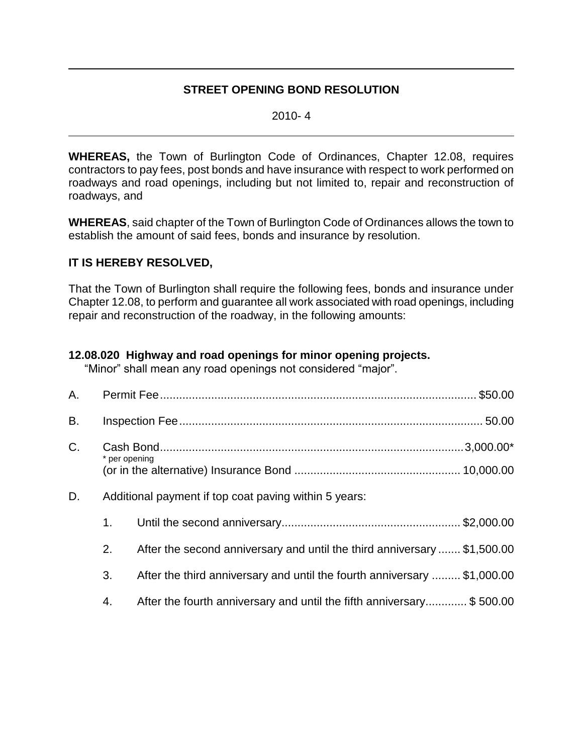## **STREET OPENING BOND RESOLUTION**

2010- 4

**WHEREAS,** the Town of Burlington Code of Ordinances, Chapter 12.08, requires contractors to pay fees, post bonds and have insurance with respect to work performed on roadways and road openings, including but not limited to, repair and reconstruction of roadways, and

**WHEREAS**, said chapter of the Town of Burlington Code of Ordinances allows the town to establish the amount of said fees, bonds and insurance by resolution.

## **IT IS HEREBY RESOLVED,**

That the Town of Burlington shall require the following fees, bonds and insurance under Chapter 12.08, to perform and guarantee all work associated with road openings, including repair and reconstruction of the roadway, in the following amounts:

## **12.08.020 Highway and road openings for minor opening projects.**

"Minor" shall mean any road openings not considered "major".

| A. |                                                       |                                                                          |  |  |
|----|-------------------------------------------------------|--------------------------------------------------------------------------|--|--|
| B. |                                                       |                                                                          |  |  |
| C. | * per opening                                         |                                                                          |  |  |
| D. | Additional payment if top coat paving within 5 years: |                                                                          |  |  |
|    | 1 <sub>1</sub>                                        |                                                                          |  |  |
|    | 2.                                                    | After the second anniversary and until the third anniversary  \$1,500.00 |  |  |
|    | 3.                                                    | After the third anniversary and until the fourth anniversary  \$1,000.00 |  |  |
|    | 4.                                                    | After the fourth anniversary and until the fifth anniversary\$ 500.00    |  |  |